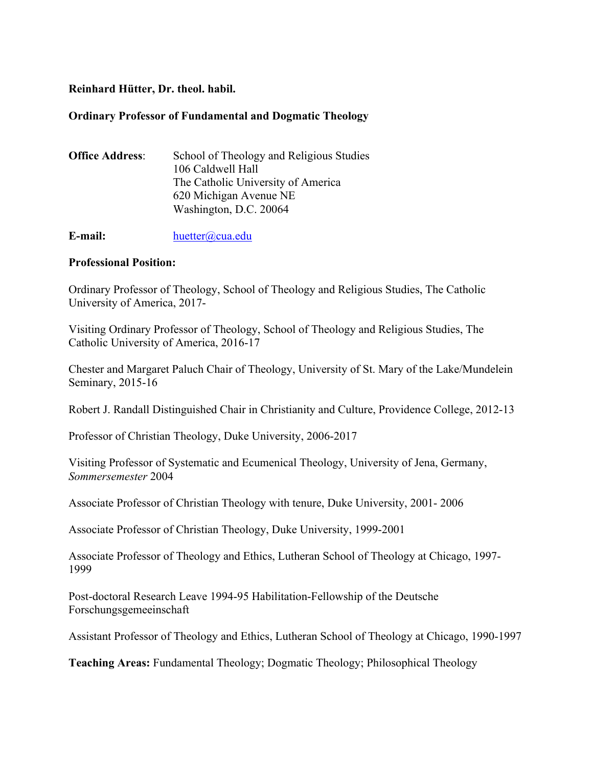# **Reinhard Hütter, Dr. theol. habil.**

## **Ordinary Professor of Fundamental and Dogmatic Theology**

| <b>Office Address:</b> | School of Theology and Religious Studies |
|------------------------|------------------------------------------|
|                        | 106 Caldwell Hall                        |
|                        | The Catholic University of America       |
|                        | 620 Michigan Avenue NE                   |
|                        | Washington, D.C. 20064                   |
|                        |                                          |

**E-mail:** huetter@cua.edu

# **Professional Position:**

Ordinary Professor of Theology, School of Theology and Religious Studies, The Catholic University of America, 2017-

Visiting Ordinary Professor of Theology, School of Theology and Religious Studies, The Catholic University of America, 2016-17

Chester and Margaret Paluch Chair of Theology, University of St. Mary of the Lake/Mundelein Seminary, 2015-16

Robert J. Randall Distinguished Chair in Christianity and Culture, Providence College, 2012-13

Professor of Christian Theology, Duke University, 2006-2017

Visiting Professor of Systematic and Ecumenical Theology, University of Jena, Germany, *Sommersemester* 2004

Associate Professor of Christian Theology with tenure, Duke University, 2001- 2006

Associate Professor of Christian Theology, Duke University, 1999-2001

Associate Professor of Theology and Ethics, Lutheran School of Theology at Chicago, 1997- 1999

Post-doctoral Research Leave 1994-95 Habilitation-Fellowship of the Deutsche Forschungsgemeeinschaft

Assistant Professor of Theology and Ethics, Lutheran School of Theology at Chicago, 1990-1997

**Teaching Areas:** Fundamental Theology; Dogmatic Theology; Philosophical Theology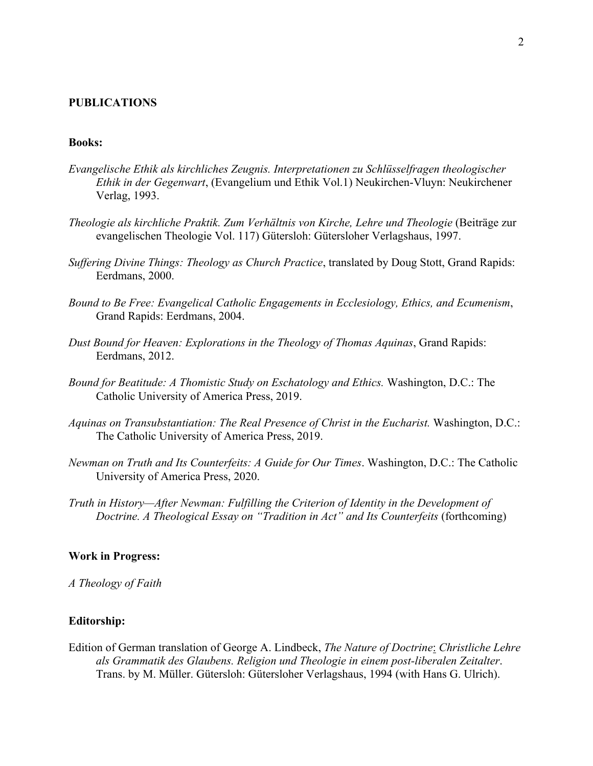### **PUBLICATIONS**

### **Books:**

- *Evangelische Ethik als kirchliches Zeugnis. Interpretationen zu Schlüsselfragen theologischer Ethik in der Gegenwart*, (Evangelium und Ethik Vol.1) Neukirchen-Vluyn: Neukirchener Verlag, 1993.
- *Theologie als kirchliche Praktik. Zum Verhältnis von Kirche, Lehre und Theologie* (Beiträge zur evangelischen Theologie Vol. 117) Gütersloh: Gütersloher Verlagshaus, 1997.
- *Suffering Divine Things: Theology as Church Practice*, translated by Doug Stott, Grand Rapids: Eerdmans, 2000.
- *Bound to Be Free: Evangelical Catholic Engagements in Ecclesiology, Ethics, and Ecumenism*, Grand Rapids: Eerdmans, 2004.
- *Dust Bound for Heaven: Explorations in the Theology of Thomas Aquinas*, Grand Rapids: Eerdmans, 2012.
- *Bound for Beatitude: A Thomistic Study on Eschatology and Ethics.* Washington, D.C.: The Catholic University of America Press, 2019.
- *Aquinas on Transubstantiation: The Real Presence of Christ in the Eucharist.* Washington, D.C.: The Catholic University of America Press, 2019.
- *Newman on Truth and Its Counterfeits: A Guide for Our Times*. Washington, D.C.: The Catholic University of America Press, 2020.
- *Truth in History—After Newman: Fulfilling the Criterion of Identity in the Development of Doctrine. A Theological Essay on "Tradition in Act" and Its Counterfeits* (forthcoming)

#### **Work in Progress:**

*A Theology of Faith*

#### **Editorship:**

Edition of German translation of George A. Lindbeck, *The Nature of Doctrine*: *Christliche Lehre als Grammatik des Glaubens. Religion und Theologie in einem post-liberalen Zeitalter*. Trans. by M. Müller. Gütersloh: Gütersloher Verlagshaus, 1994 (with Hans G. Ulrich).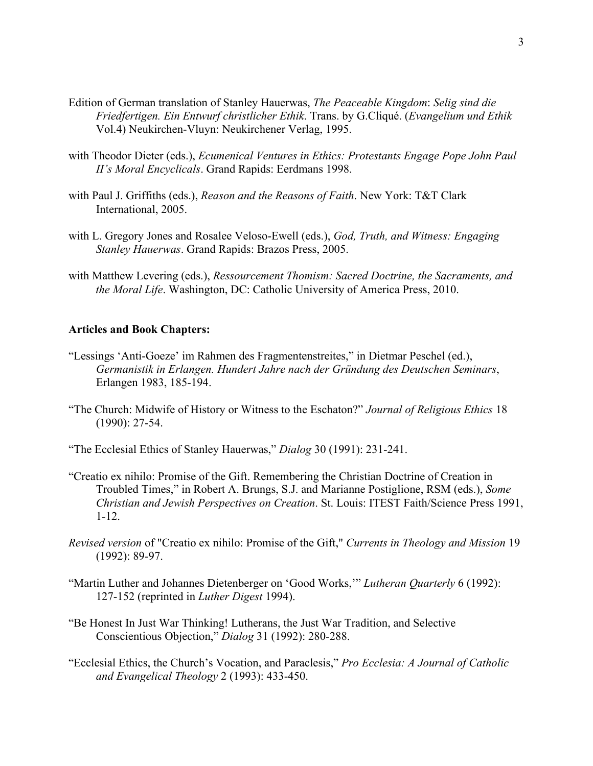- Edition of German translation of Stanley Hauerwas, *The Peaceable Kingdom*: *Selig sind die Friedfertigen. Ein Entwurf christlicher Ethik*. Trans. by G.Cliqué. (*Evangelium und Ethik* Vol.4) Neukirchen-Vluyn: Neukirchener Verlag, 1995.
- with Theodor Dieter (eds.), *Ecumenical Ventures in Ethics: Protestants Engage Pope John Paul II's Moral Encyclicals*. Grand Rapids: Eerdmans 1998.
- with Paul J. Griffiths (eds.), *Reason and the Reasons of Faith*. New York: T&T Clark International, 2005.
- with L. Gregory Jones and Rosalee Veloso-Ewell (eds.), *God, Truth, and Witness: Engaging Stanley Hauerwas*. Grand Rapids: Brazos Press, 2005.
- with Matthew Levering (eds.), *Ressourcement Thomism: Sacred Doctrine, the Sacraments, and the Moral Life*. Washington, DC: Catholic University of America Press, 2010.

## **Articles and Book Chapters:**

- "Lessings 'Anti-Goeze' im Rahmen des Fragmentenstreites," in Dietmar Peschel (ed.), *Germanistik in Erlangen. Hundert Jahre nach der Gründung des Deutschen Seminars*, Erlangen 1983, 185-194.
- "The Church: Midwife of History or Witness to the Eschaton?" *Journal of Religious Ethics* 18 (1990): 27-54.
- "The Ecclesial Ethics of Stanley Hauerwas," *Dialog* 30 (1991): 231-241.
- "Creatio ex nihilo: Promise of the Gift. Remembering the Christian Doctrine of Creation in Troubled Times," in Robert A. Brungs, S.J. and Marianne Postiglione, RSM (eds.), *Some Christian and Jewish Perspectives on Creation*. St. Louis: ITEST Faith/Science Press 1991, 1-12.
- *Revised version* of "Creatio ex nihilo: Promise of the Gift," *Currents in Theology and Mission* 19 (1992): 89-97.
- "Martin Luther and Johannes Dietenberger on 'Good Works,'" *Lutheran Quarterly* 6 (1992): 127-152 (reprinted in *Luther Digest* 1994).
- "Be Honest In Just War Thinking! Lutherans, the Just War Tradition, and Selective Conscientious Objection," *Dialog* 31 (1992): 280-288.
- "Ecclesial Ethics, the Church's Vocation, and Paraclesis," *Pro Ecclesia: A Journal of Catholic and Evangelical Theology* 2 (1993): 433-450.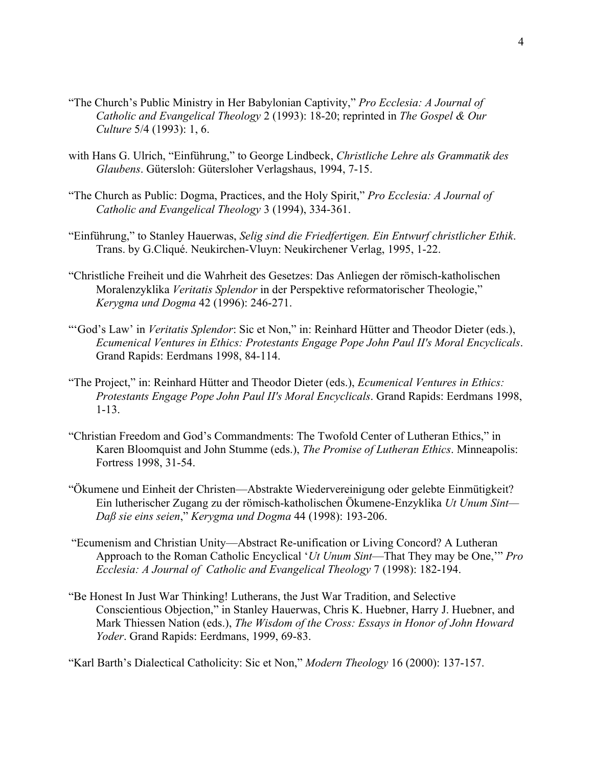- "The Church's Public Ministry in Her Babylonian Captivity," *Pro Ecclesia: A Journal of Catholic and Evangelical Theology* 2 (1993): 18-20; reprinted in *The Gospel & Our Culture* 5/4 (1993): 1, 6.
- with Hans G. Ulrich, "Einführung," to George Lindbeck, *Christliche Lehre als Grammatik des Glaubens*. Gütersloh: Gütersloher Verlagshaus, 1994, 7-15.
- "The Church as Public: Dogma, Practices, and the Holy Spirit," *Pro Ecclesia: A Journal of Catholic and Evangelical Theology* 3 (1994), 334-361.
- "Einführung," to Stanley Hauerwas, *Selig sind die Friedfertigen. Ein Entwurf christlicher Ethik*. Trans. by G.Cliqué. Neukirchen-Vluyn: Neukirchener Verlag, 1995, 1-22.
- "Christliche Freiheit und die Wahrheit des Gesetzes: Das Anliegen der römisch-katholischen Moralenzyklika *Veritatis Splendor* in der Perspektive reformatorischer Theologie," *Kerygma und Dogma* 42 (1996): 246-271.
- "'God's Law' in *Veritatis Splendor*: Sic et Non," in: Reinhard Hütter and Theodor Dieter (eds.), *Ecumenical Ventures in Ethics: Protestants Engage Pope John Paul II's Moral Encyclicals*. Grand Rapids: Eerdmans 1998, 84-114.
- "The Project," in: Reinhard Hütter and Theodor Dieter (eds.), *Ecumenical Ventures in Ethics: Protestants Engage Pope John Paul II's Moral Encyclicals*. Grand Rapids: Eerdmans 1998, 1-13.
- "Christian Freedom and God's Commandments: The Twofold Center of Lutheran Ethics," in Karen Bloomquist and John Stumme (eds.), *The Promise of Lutheran Ethics*. Minneapolis: Fortress 1998, 31-54.
- "Ökumene und Einheit der Christen—Abstrakte Wiedervereinigung oder gelebte Einmütigkeit? Ein lutherischer Zugang zu der römisch-katholischen Ökumene-Enzyklika *Ut Unum Sint— Daß sie eins seien*," *Kerygma und Dogma* 44 (1998): 193-206.
- "Ecumenism and Christian Unity—Abstract Re-unification or Living Concord? A Lutheran Approach to the Roman Catholic Encyclical '*Ut Unum Sint*—That They may be One,'" *Pro Ecclesia: A Journal of Catholic and Evangelical Theology* 7 (1998): 182-194.
- "Be Honest In Just War Thinking! Lutherans, the Just War Tradition, and Selective Conscientious Objection," in Stanley Hauerwas, Chris K. Huebner, Harry J. Huebner, and Mark Thiessen Nation (eds.), *The Wisdom of the Cross: Essays in Honor of John Howard Yoder*. Grand Rapids: Eerdmans, 1999, 69-83.

"Karl Barth's Dialectical Catholicity: Sic et Non," *Modern Theology* 16 (2000): 137-157.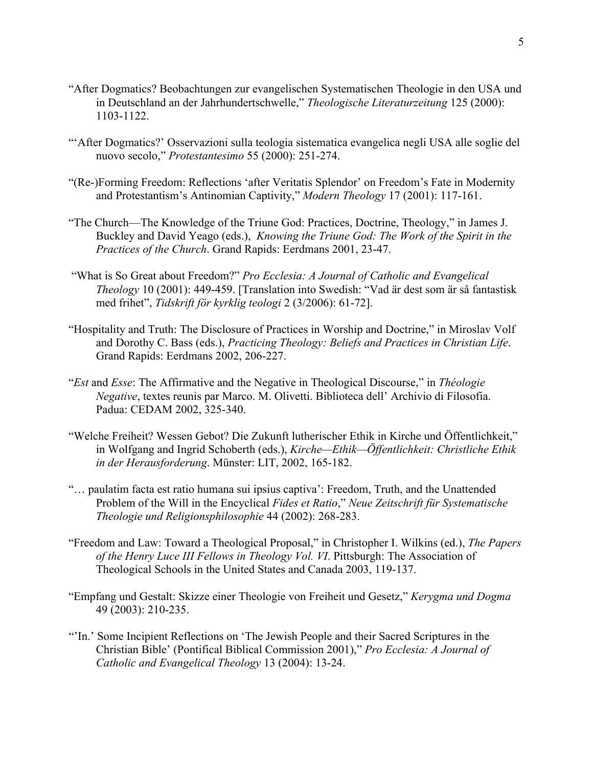- "After Dogmatics? Beobachtungen zur evangelischen Systematischen Theologie in den USA und in Deutschland an der Jahrhundertschwelle," *Theologische Literaturzeitung* 125 (2000): 1103-1122.
- "'After Dogmatics?' Osservazioni sulla teologia sistematica evangelica negli USA alle soglie del nuovo secolo," *Protestantesimo* 55 (2000): 251-274.
- "(Re-)Forming Freedom: Reflections 'after Veritatis Splendor' on Freedom's Fate in Modernity and Protestantism's Antinomian Captivity," *Modern Theology* 17 (2001): 117-161.
- "The Church—The Knowledge of the Triune God: Practices, Doctrine, Theology," in James J. Buckley and David Yeago (eds.), *Knowing the Triune God: The Work of the Spirit in the Practices of the Church*. Grand Rapids: Eerdmans 2001, 23-47.
- "What is So Great about Freedom?" *Pro Ecclesia: A Journal of Catholic and Evangelical Theology* 10 (2001): 449-459. [Translation into Swedish: "Vad är dest som är så fantastisk med frihet", *Tidskrift för kyrklig teologi* 2 (3/2006): 61-72].
- "Hospitality and Truth: The Disclosure of Practices in Worship and Doctrine," in Miroslav Volf and Dorothy C. Bass (eds.), *Practicing Theology: Beliefs and Practices in Christian Life*. Grand Rapids: Eerdmans 2002, 206-227.
- "*Est* and *Esse*: The Affirmative and the Negative in Theological Discourse," in *Théologie Negative*, textes reunis par Marco. M. Olivetti. Biblioteca dell' Archivio di Filosofia. Padua: CEDAM 2002, 325-340.
- "Welche Freiheit? Wessen Gebot? Die Zukunft lutherischer Ethik in Kirche und Öffentlichkeit," in Wolfgang and Ingrid Schoberth (eds.), *Kirche—Ethik—Öffentlichkeit: Christliche Ethik in der Herausforderung*. Münster: LIT, 2002, 165-182.
- "… paulatim facta est ratio humana sui ipsius captiva': Freedom, Truth, and the Unattended Problem of the Will in the Encyclical *Fides et Ratio*," *Neue Zeitschrift für Systematische Theologie und Religionsphilosophie* 44 (2002): 268-283.
- "Freedom and Law: Toward a Theological Proposal," in Christopher I. Wilkins (ed.), *The Papers of the Henry Luce III Fellows in Theology Vol. VI*. Pittsburgh: The Association of Theological Schools in the United States and Canada 2003, 119-137.
- "Empfang und Gestalt: Skizze einer Theologie von Freiheit und Gesetz," *Kerygma und Dogma* 49 (2003): 210-235.
- "'In.' Some Incipient Reflections on 'The Jewish People and their Sacred Scriptures in the Christian Bible' (Pontifical Biblical Commission 2001)," *Pro Ecclesia: A Journal of Catholic and Evangelical Theology* 13 (2004): 13-24.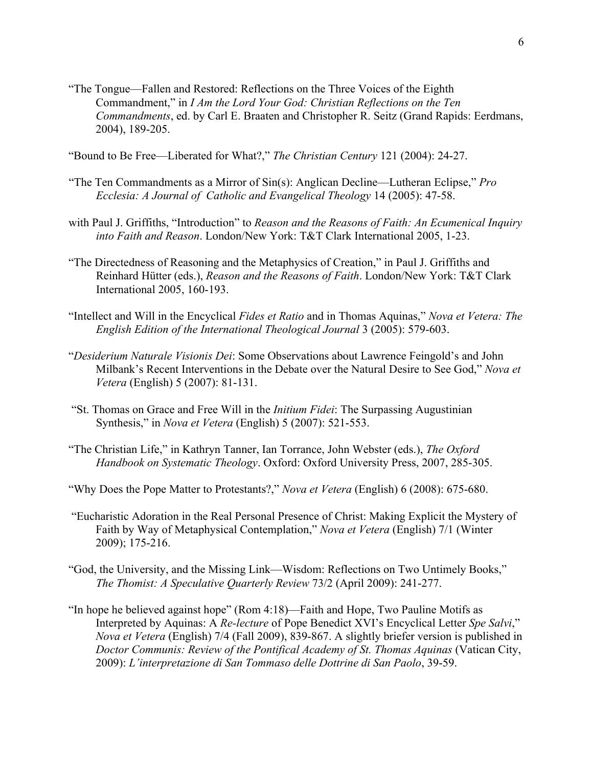"The Tongue—Fallen and Restored: Reflections on the Three Voices of the Eighth Commandment," in *I Am the Lord Your God: Christian Reflections on the Ten Commandments*, ed. by Carl E. Braaten and Christopher R. Seitz (Grand Rapids: Eerdmans, 2004), 189-205.

"Bound to Be Free—Liberated for What?," *The Christian Century* 121 (2004): 24-27.

- "The Ten Commandments as a Mirror of Sin(s): Anglican Decline—Lutheran Eclipse," *Pro Ecclesia: A Journal of Catholic and Evangelical Theology* 14 (2005): 47-58.
- with Paul J. Griffiths, "Introduction" to *Reason and the Reasons of Faith: An Ecumenical Inquiry into Faith and Reason*. London/New York: T&T Clark International 2005, 1-23.
- "The Directedness of Reasoning and the Metaphysics of Creation," in Paul J. Griffiths and Reinhard Hütter (eds.), *Reason and the Reasons of Faith*. London/New York: T&T Clark International 2005, 160-193.
- "Intellect and Will in the Encyclical *Fides et Ratio* and in Thomas Aquinas," *Nova et Vetera: The English Edition of the International Theological Journal* 3 (2005): 579-603.
- "*Desiderium Naturale Visionis Dei*: Some Observations about Lawrence Feingold's and John Milbank's Recent Interventions in the Debate over the Natural Desire to See God," *Nova et Vetera* (English) 5 (2007): 81-131.
- "St. Thomas on Grace and Free Will in the *Initium Fidei*: The Surpassing Augustinian Synthesis," in *Nova et Vetera* (English) 5 (2007): 521-553.
- "The Christian Life," in Kathryn Tanner, Ian Torrance, John Webster (eds.), *The Oxford Handbook on Systematic Theology*. Oxford: Oxford University Press, 2007, 285-305.
- "Why Does the Pope Matter to Protestants?," *Nova et Vetera* (English) 6 (2008): 675-680.
- "Eucharistic Adoration in the Real Personal Presence of Christ: Making Explicit the Mystery of Faith by Way of Metaphysical Contemplation," *Nova et Vetera* (English) 7/1 (Winter 2009); 175-216.
- "God, the University, and the Missing Link—Wisdom: Reflections on Two Untimely Books," *The Thomist: A Speculative Quarterly Review* 73/2 (April 2009): 241-277.
- "In hope he believed against hope" (Rom 4:18)—Faith and Hope, Two Pauline Motifs as Interpreted by Aquinas: A *Re-lecture* of Pope Benedict XVI's Encyclical Letter *Spe Salvi*," *Nova et Vetera* (English) 7/4 (Fall 2009), 839-867. A slightly briefer version is published in *Doctor Communis: Review of the Pontifical Academy of St. Thomas Aquinas* (Vatican City, 2009): *L'interpretazione di San Tommaso delle Dottrine di San Paolo*, 39-59.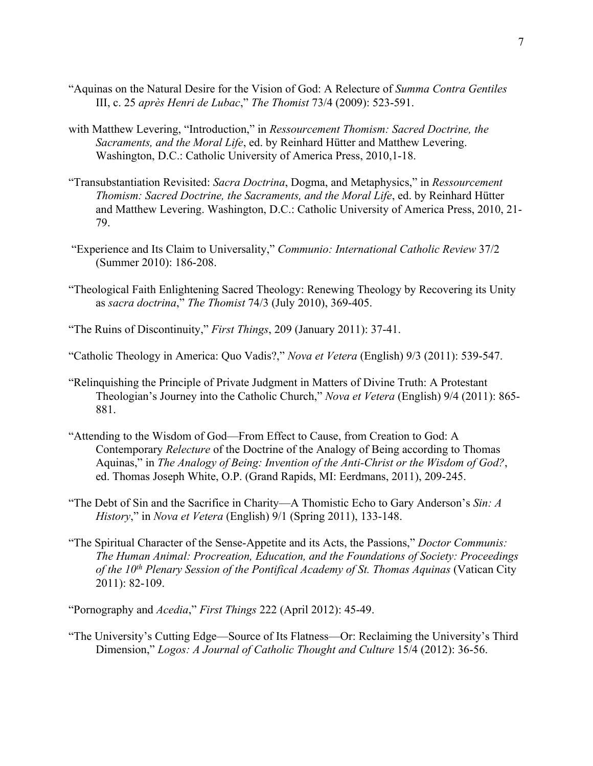- "Aquinas on the Natural Desire for the Vision of God: A Relecture of *Summa Contra Gentiles* III, c. 25 *après Henri de Lubac*," *The Thomist* 73/4 (2009): 523-591.
- with Matthew Levering, "Introduction," in *Ressourcement Thomism: Sacred Doctrine, the Sacraments, and the Moral Life*, ed. by Reinhard Hütter and Matthew Levering. Washington, D.C.: Catholic University of America Press, 2010,1-18.
- "Transubstantiation Revisited: *Sacra Doctrina*, Dogma, and Metaphysics," in *Ressourcement Thomism: Sacred Doctrine, the Sacraments, and the Moral Life*, ed. by Reinhard Hütter and Matthew Levering. Washington, D.C.: Catholic University of America Press, 2010, 21- 79.
- "Experience and Its Claim to Universality," *Communio: International Catholic Review* 37/2 (Summer 2010): 186-208.
- "Theological Faith Enlightening Sacred Theology: Renewing Theology by Recovering its Unity as *sacra doctrina*," *The Thomist* 74/3 (July 2010), 369-405.
- "The Ruins of Discontinuity," *First Things*, 209 (January 2011): 37-41.
- "Catholic Theology in America: Quo Vadis?," *Nova et Vetera* (English) 9/3 (2011): 539-547.
- "Relinquishing the Principle of Private Judgment in Matters of Divine Truth: A Protestant Theologian's Journey into the Catholic Church," *Nova et Vetera* (English) 9/4 (2011): 865- 881.
- "Attending to the Wisdom of God—From Effect to Cause, from Creation to God: A Contemporary *Relecture* of the Doctrine of the Analogy of Being according to Thomas Aquinas," in *The Analogy of Being: Invention of the Anti-Christ or the Wisdom of God?*, ed. Thomas Joseph White, O.P. (Grand Rapids, MI: Eerdmans, 2011), 209-245.
- "The Debt of Sin and the Sacrifice in Charity—A Thomistic Echo to Gary Anderson's *Sin: A History*," in *Nova et Vetera* (English) 9/1 (Spring 2011), 133-148.
- "The Spiritual Character of the Sense-Appetite and its Acts, the Passions," *Doctor Communis: The Human Animal: Procreation, Education, and the Foundations of Society: Proceedings of the 10th Plenary Session of the Pontifical Academy of St. Thomas Aquinas* (Vatican City 2011): 82-109.

"Pornography and *Acedia*," *First Things* 222 (April 2012): 45-49.

"The University's Cutting Edge—Source of Its Flatness—Or: Reclaiming the University's Third Dimension," *Logos: A Journal of Catholic Thought and Culture* 15/4 (2012): 36-56.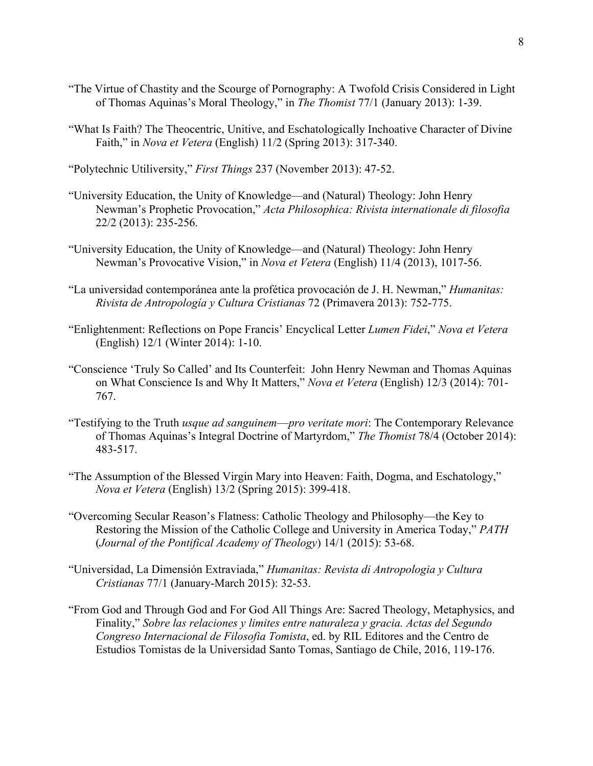- "The Virtue of Chastity and the Scourge of Pornography: A Twofold Crisis Considered in Light of Thomas Aquinas's Moral Theology," in *The Thomist* 77/1 (January 2013): 1-39.
- "What Is Faith? The Theocentric, Unitive, and Eschatologically Inchoative Character of Divine Faith," in *Nova et Vetera* (English) 11/2 (Spring 2013): 317-340.

"Polytechnic Utiliversity," *First Things* 237 (November 2013): 47-52.

- "University Education, the Unity of Knowledge—and (Natural) Theology: John Henry Newman's Prophetic Provocation," *Acta Philosophica: Rivista internationale di filosofia* 22/2 (2013): 235-256.
- "University Education, the Unity of Knowledge—and (Natural) Theology: John Henry Newman's Provocative Vision," in *Nova et Vetera* (English) 11/4 (2013), 1017-56.
- "La universidad contemporánea ante la profética provocación de J. H. Newman," *Humanitas: Rivista de Antropología y Cultura Cristianas* 72 (Primavera 2013): 752-775.
- "Enlightenment: Reflections on Pope Francis' Encyclical Letter *Lumen Fidei*," *Nova et Vetera*  (English) 12/1 (Winter 2014): 1-10.
- "Conscience 'Truly So Called' and Its Counterfeit: John Henry Newman and Thomas Aquinas on What Conscience Is and Why It Matters," *Nova et Vetera* (English) 12/3 (2014): 701- 767.
- "Testifying to the Truth *usque ad sanguinem*—*pro veritate mori*: The Contemporary Relevance of Thomas Aquinas's Integral Doctrine of Martyrdom," *The Thomist* 78/4 (October 2014): 483-517.
- "The Assumption of the Blessed Virgin Mary into Heaven: Faith, Dogma, and Eschatology," *Nova et Vetera* (English) 13/2 (Spring 2015): 399-418.
- "Overcoming Secular Reason's Flatness: Catholic Theology and Philosophy—the Key to Restoring the Mission of the Catholic College and University in America Today," *PATH* (*Journal of the Pontifical Academy of Theology*) 14/1 (2015): 53-68.
- "Universidad, La Dimensión Extraviada," *Humanitas: Revista di Antropologia y Cultura Cristianas* 77/1 (January-March 2015): 32-53.
- "From God and Through God and For God All Things Are: Sacred Theology, Metaphysics, and Finality," *Sobre las relaciones y limites entre naturaleza y gracia. Actas del Segundo Congreso Internacional de Filosofia Tomista*, ed. by RIL Editores and the Centro de Estudios Tomistas de la Universidad Santo Tomas, Santiago de Chile, 2016, 119-176.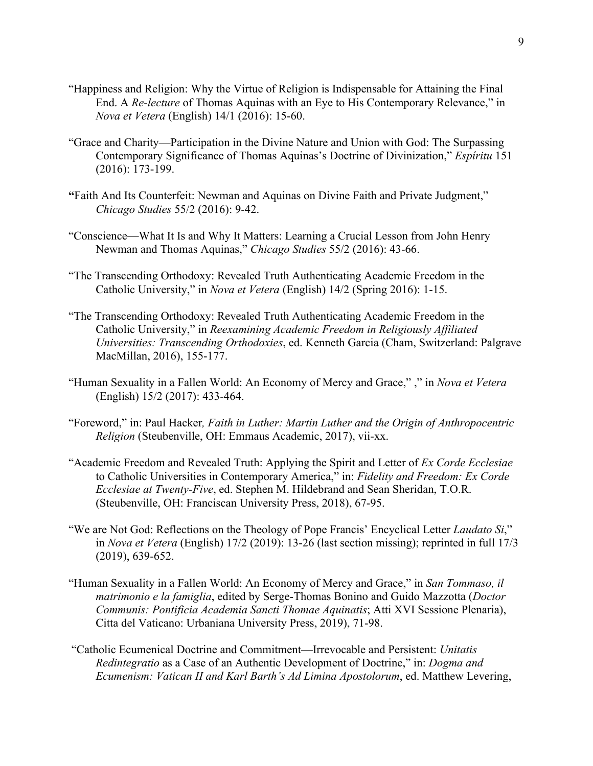- "Happiness and Religion: Why the Virtue of Religion is Indispensable for Attaining the Final End. A *Re-lecture* of Thomas Aquinas with an Eye to His Contemporary Relevance," in *Nova et Vetera* (English) 14/1 (2016): 15-60.
- "Grace and Charity—Participation in the Divine Nature and Union with God: The Surpassing Contemporary Significance of Thomas Aquinas's Doctrine of Divinization," *Espíritu* 151 (2016): 173-199.
- **"**Faith And Its Counterfeit: Newman and Aquinas on Divine Faith and Private Judgment," *Chicago Studies* 55/2 (2016): 9-42.
- "Conscience—What It Is and Why It Matters: Learning a Crucial Lesson from John Henry Newman and Thomas Aquinas," *Chicago Studies* 55/2 (2016): 43-66.
- "The Transcending Orthodoxy: Revealed Truth Authenticating Academic Freedom in the Catholic University," in *Nova et Vetera* (English) 14/2 (Spring 2016): 1-15.
- "The Transcending Orthodoxy: Revealed Truth Authenticating Academic Freedom in the Catholic University," in *Reexamining Academic Freedom in Religiously Affiliated Universities: Transcending Orthodoxies*, ed. Kenneth Garcia (Cham, Switzerland: Palgrave MacMillan, 2016), 155-177.
- "Human Sexuality in a Fallen World: An Economy of Mercy and Grace," ," in *Nova et Vetera*  (English) 15/2 (2017): 433-464.
- "Foreword," in: Paul Hacker*, Faith in Luther: Martin Luther and the Origin of Anthropocentric Religion* (Steubenville, OH: Emmaus Academic, 2017), vii-xx.
- "Academic Freedom and Revealed Truth: Applying the Spirit and Letter of *Ex Corde Ecclesiae* to Catholic Universities in Contemporary America," in: *Fidelity and Freedom: Ex Corde Ecclesiae at Twenty-Five*, ed. Stephen M. Hildebrand and Sean Sheridan, T.O.R. (Steubenville, OH: Franciscan University Press, 2018), 67-95.
- "We are Not God: Reflections on the Theology of Pope Francis' Encyclical Letter *Laudato Si*," in *Nova et Vetera* (English) 17/2 (2019): 13-26 (last section missing); reprinted in full 17/3 (2019), 639-652.
- "Human Sexuality in a Fallen World: An Economy of Mercy and Grace," in *San Tommaso, il matrimonio e la famiglia*, edited by Serge-Thomas Bonino and Guido Mazzotta (*Doctor Communis: Pontificia Academia Sancti Thomae Aquinatis*; Atti XVI Sessione Plenaria), Citta del Vaticano: Urbaniana University Press, 2019), 71-98.
- "Catholic Ecumenical Doctrine and Commitment—Irrevocable and Persistent: *Unitatis Redintegratio* as a Case of an Authentic Development of Doctrine," in: *Dogma and Ecumenism: Vatican II and Karl Barth's Ad Limina Apostolorum*, ed. Matthew Levering,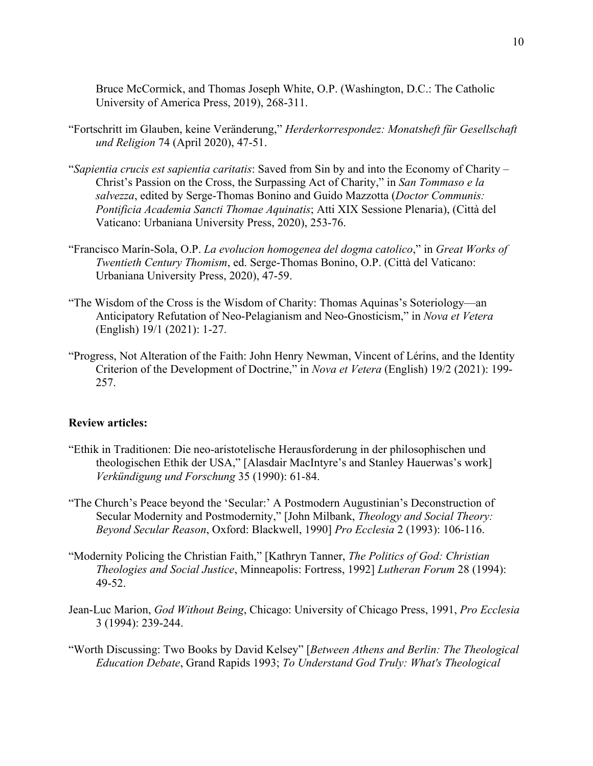Bruce McCormick, and Thomas Joseph White, O.P. (Washington, D.C.: The Catholic University of America Press, 2019), 268-311.

- "Fortschritt im Glauben, keine Veränderung," *Herderkorrespondez: Monatsheft für Gesellschaft und Religion* 74 (April 2020), 47-51.
- "*Sapientia crucis est sapientia caritatis*: Saved from Sin by and into the Economy of Charity Christ's Passion on the Cross, the Surpassing Act of Charity," in *San Tommaso e la salvezza*, edited by Serge-Thomas Bonino and Guido Mazzotta (*Doctor Communis: Pontificia Academia Sancti Thomae Aquinatis*; Atti XIX Sessione Plenaria), (Città del Vaticano: Urbaniana University Press, 2020), 253-76.
- "Francisco Marín-Sola, O.P. *La evolucion homogenea del dogma catolico*," in *Great Works of Twentieth Century Thomism*, ed. Serge-Thomas Bonino, O.P. (Città del Vaticano: Urbaniana University Press, 2020), 47-59.
- "The Wisdom of the Cross is the Wisdom of Charity: Thomas Aquinas's Soteriology—an Anticipatory Refutation of Neo-Pelagianism and Neo-Gnosticism," in *Nova et Vetera* (English) 19/1 (2021): 1-27.
- "Progress, Not Alteration of the Faith: John Henry Newman, Vincent of Lérins, and the Identity Criterion of the Development of Doctrine," in *Nova et Vetera* (English) 19/2 (2021): 199- 257.

## **Review articles:**

- "Ethik in Traditionen: Die neo-aristotelische Herausforderung in der philosophischen und theologischen Ethik der USA," [Alasdair MacIntyre's and Stanley Hauerwas's work] *Verkündigung und Forschung* 35 (1990): 61-84.
- "The Church's Peace beyond the 'Secular:' A Postmodern Augustinian's Deconstruction of Secular Modernity and Postmodernity," [John Milbank, *Theology and Social Theory: Beyond Secular Reason*, Oxford: Blackwell, 1990] *Pro Ecclesia* 2 (1993): 106-116.
- "Modernity Policing the Christian Faith," [Kathryn Tanner, *The Politics of God: Christian Theologies and Social Justice*, Minneapolis: Fortress, 1992] *Lutheran Forum* 28 (1994): 49-52.
- Jean-Luc Marion, *God Without Being*, Chicago: University of Chicago Press, 1991, *Pro Ecclesia* 3 (1994): 239-244.
- "Worth Discussing: Two Books by David Kelsey" [*Between Athens and Berlin: The Theological Education Debate*, Grand Rapids 1993; *To Understand God Truly: What's Theological*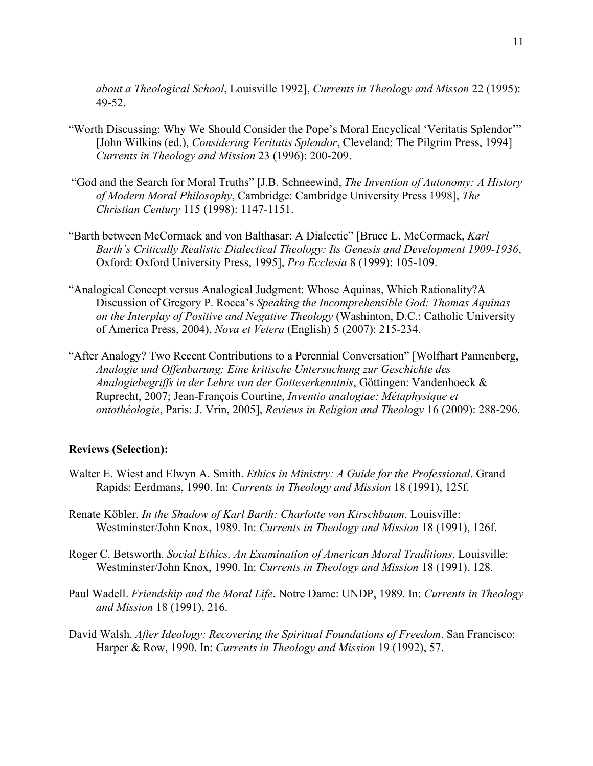*about a Theological School*, Louisville 1992], *Currents in Theology and Misson* 22 (1995): 49-52.

- "Worth Discussing: Why We Should Consider the Pope's Moral Encyclical 'Veritatis Splendor'" [John Wilkins (ed.), *Considering Veritatis Splendor*, Cleveland: The Pilgrim Press, 1994] *Currents in Theology and Mission* 23 (1996): 200-209.
- "God and the Search for Moral Truths" [J.B. Schneewind, *The Invention of Autonomy: A History of Modern Moral Philosophy*, Cambridge: Cambridge University Press 1998], *The Christian Century* 115 (1998): 1147-1151.
- "Barth between McCormack and von Balthasar: A Dialectic" [Bruce L. McCormack, *Karl Barth's Critically Realistic Dialectical Theology: Its Genesis and Development 1909-1936*, Oxford: Oxford University Press, 1995], *Pro Ecclesia* 8 (1999): 105-109.
- "Analogical Concept versus Analogical Judgment: Whose Aquinas, Which Rationality?A Discussion of Gregory P. Rocca's *Speaking the Incomprehensible God: Thomas Aquinas on the Interplay of Positive and Negative Theology* (Washinton, D.C.: Catholic University of America Press, 2004), *Nova et Vetera* (English) 5 (2007): 215-234.
- "After Analogy? Two Recent Contributions to a Perennial Conversation" [Wolfhart Pannenberg, *Analogie und Offenbarung: Eine kritische Untersuchung zur Geschichte des Analogiebegriffs in der Lehre von der Gotteserkenntnis*, Göttingen: Vandenhoeck & Ruprecht, 2007; Jean-François Courtine, *Inventio analogiae: Métaphysique et ontothéologie*, Paris: J. Vrin, 2005], *Reviews in Religion and Theology* 16 (2009): 288-296.

### **Reviews (Selection):**

- Walter E. Wiest and Elwyn A. Smith. *Ethics in Ministry: A Guide for the Professional*. Grand Rapids: Eerdmans, 1990. In: *Currents in Theology and Mission* 18 (1991), 125f.
- Renate Köbler. *In the Shadow of Karl Barth: Charlotte von Kirschbaum*. Louisville: Westminster/John Knox, 1989. In: *Currents in Theology and Mission* 18 (1991), 126f.
- Roger C. Betsworth. *Social Ethics. An Examination of American Moral Traditions*. Louisville: Westminster/John Knox, 1990. In: *Currents in Theology and Mission* 18 (1991), 128.
- Paul Wadell. *Friendship and the Moral Life*. Notre Dame: UNDP, 1989. In: *Currents in Theology and Mission* 18 (1991), 216.
- David Walsh. *After Ideology: Recovering the Spiritual Foundations of Freedom*. San Francisco: Harper & Row, 1990. In: *Currents in Theology and Mission* 19 (1992), 57.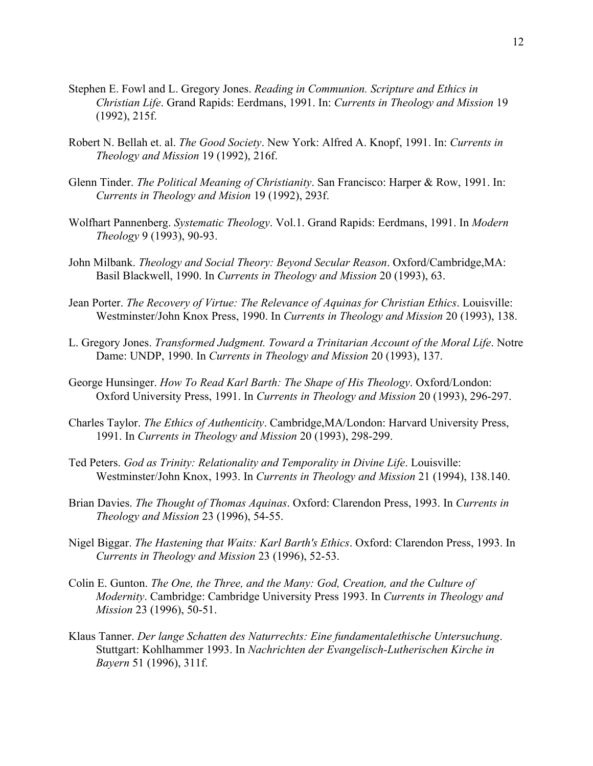- Stephen E. Fowl and L. Gregory Jones. *Reading in Communion. Scripture and Ethics in Christian Life*. Grand Rapids: Eerdmans, 1991. In: *Currents in Theology and Mission* 19 (1992), 215f.
- Robert N. Bellah et. al. *The Good Society*. New York: Alfred A. Knopf, 1991. In: *Currents in Theology and Mission* 19 (1992), 216f.
- Glenn Tinder. *The Political Meaning of Christianity*. San Francisco: Harper & Row, 1991. In: *Currents in Theology and Mision* 19 (1992), 293f.
- Wolfhart Pannenberg. *Systematic Theology*. Vol.1. Grand Rapids: Eerdmans, 1991. In *Modern Theology* 9 (1993), 90-93.
- John Milbank. *Theology and Social Theory: Beyond Secular Reason*. Oxford/Cambridge,MA: Basil Blackwell, 1990. In *Currents in Theology and Mission* 20 (1993), 63.
- Jean Porter. *The Recovery of Virtue: The Relevance of Aquinas for Christian Ethics*. Louisville: Westminster/John Knox Press, 1990. In *Currents in Theology and Mission* 20 (1993), 138.
- L. Gregory Jones. *Transformed Judgment. Toward a Trinitarian Account of the Moral Life*. Notre Dame: UNDP, 1990. In *Currents in Theology and Mission* 20 (1993), 137.
- George Hunsinger. *How To Read Karl Barth: The Shape of His Theology*. Oxford/London: Oxford University Press, 1991. In *Currents in Theology and Mission* 20 (1993), 296-297.
- Charles Taylor. *The Ethics of Authenticity*. Cambridge,MA/London: Harvard University Press, 1991. In *Currents in Theology and Mission* 20 (1993), 298-299.
- Ted Peters. *God as Trinity: Relationality and Temporality in Divine Life*. Louisville: Westminster/John Knox, 1993. In *Currents in Theology and Mission* 21 (1994), 138.140.
- Brian Davies. *The Thought of Thomas Aquinas*. Oxford: Clarendon Press, 1993. In *Currents in Theology and Mission* 23 (1996), 54-55.
- Nigel Biggar. *The Hastening that Waits: Karl Barth's Ethics*. Oxford: Clarendon Press, 1993. In *Currents in Theology and Mission* 23 (1996), 52-53.
- Colin E. Gunton. *The One, the Three, and the Many: God, Creation, and the Culture of Modernity*. Cambridge: Cambridge University Press 1993. In *Currents in Theology and Mission* 23 (1996), 50-51.
- Klaus Tanner. *Der lange Schatten des Naturrechts: Eine fundamentalethische Untersuchung*. Stuttgart: Kohlhammer 1993. In *Nachrichten der Evangelisch-Lutherischen Kirche in Bayern* 51 (1996), 311f.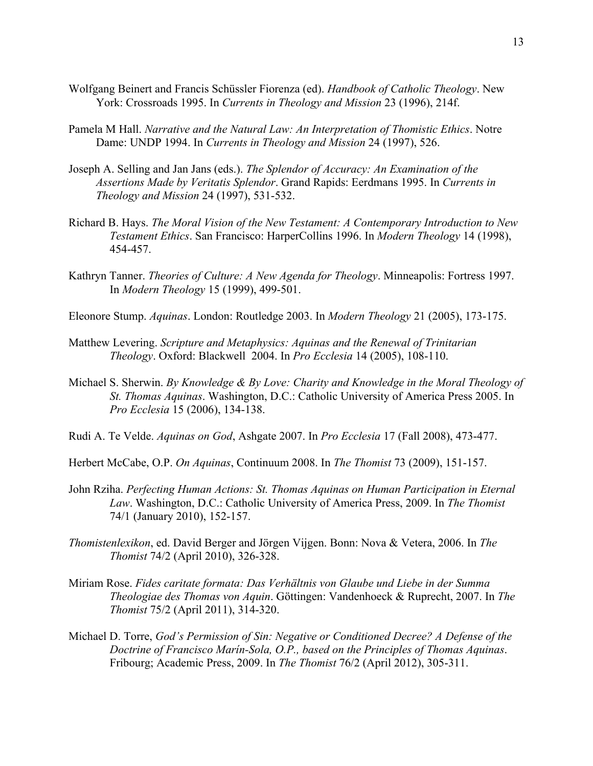- Wolfgang Beinert and Francis Schüssler Fiorenza (ed). *Handbook of Catholic Theology*. New York: Crossroads 1995. In *Currents in Theology and Mission* 23 (1996), 214f.
- Pamela M Hall. *Narrative and the Natural Law: An Interpretation of Thomistic Ethics*. Notre Dame: UNDP 1994. In *Currents in Theology and Mission* 24 (1997), 526.
- Joseph A. Selling and Jan Jans (eds.). *The Splendor of Accuracy: An Examination of the Assertions Made by Veritatis Splendor*. Grand Rapids: Eerdmans 1995. In *Currents in Theology and Mission* 24 (1997), 531-532.
- Richard B. Hays. *The Moral Vision of the New Testament: A Contemporary Introduction to New Testament Ethics*. San Francisco: HarperCollins 1996. In *Modern Theology* 14 (1998), 454-457.
- Kathryn Tanner. *Theories of Culture: A New Agenda for Theology*. Minneapolis: Fortress 1997. In *Modern Theology* 15 (1999), 499-501.
- Eleonore Stump. *Aquinas*. London: Routledge 2003. In *Modern Theology* 21 (2005), 173-175.
- Matthew Levering. *Scripture and Metaphysics: Aquinas and the Renewal of Trinitarian Theology*. Oxford: Blackwell 2004. In *Pro Ecclesia* 14 (2005), 108-110.
- Michael S. Sherwin. *By Knowledge & By Love: Charity and Knowledge in the Moral Theology of St. Thomas Aquinas*. Washington, D.C.: Catholic University of America Press 2005. In *Pro Ecclesia* 15 (2006), 134-138.
- Rudi A. Te Velde. *Aquinas on God*, Ashgate 2007. In *Pro Ecclesia* 17 (Fall 2008), 473-477.
- Herbert McCabe, O.P. *On Aquinas*, Continuum 2008. In *The Thomist* 73 (2009), 151-157.
- John Rziha. *Perfecting Human Actions: St. Thomas Aquinas on Human Participation in Eternal Law*. Washington, D.C.: Catholic University of America Press, 2009. In *The Thomist* 74/1 (January 2010), 152-157.
- *Thomistenlexikon*, ed. David Berger and Jörgen Vijgen. Bonn: Nova & Vetera, 2006. In *The Thomist* 74/2 (April 2010), 326-328.
- Miriam Rose. *Fides caritate formata: Das Verhältnis von Glaube und Liebe in der Summa Theologiae des Thomas von Aquin*. Göttingen: Vandenhoeck & Ruprecht, 2007. In *The Thomist* 75/2 (April 2011), 314-320.
- Michael D. Torre, *God's Permission of Sin: Negative or Conditioned Decree? A Defense of the Doctrine of Francisco Marín-Sola, O.P., based on the Principles of Thomas Aquinas*. Fribourg; Academic Press, 2009. In *The Thomist* 76/2 (April 2012), 305-311.